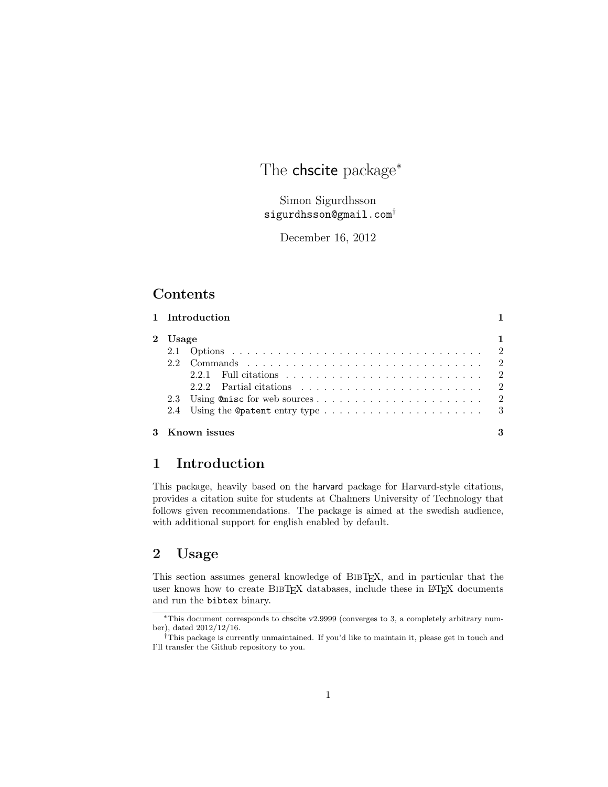# The chscite package<sup>∗</sup>

Simon Sigurdhsson sigurdhsson@gmail.com†

December 16, 2012

## Contents

|         | 1 Introduction                                                                      |  |
|---------|-------------------------------------------------------------------------------------|--|
| 2 Usage |                                                                                     |  |
|         |                                                                                     |  |
|         |                                                                                     |  |
|         |                                                                                     |  |
|         | 2.2.2 Partial citations $\ldots \ldots \ldots \ldots \ldots \ldots \ldots \ldots 2$ |  |
|         |                                                                                     |  |
|         | 2.4 Using the Opatent entry type $\ldots \ldots \ldots \ldots \ldots \ldots \ldots$ |  |
|         | 3 Known issues                                                                      |  |

## 1 Introduction

This package, heavily based on the harvard package for Harvard-style citations, provides a citation suite for students at Chalmers University of Technology that follows given recommendations. The package is aimed at the swedish audience, with additional support for english enabled by default.

# 2 Usage

This section assumes general knowledge of BibTEX, and in particular that the user knows how to create BIBTEX databases, include these in LATEX documents and run the bibtex binary.

<sup>∗</sup>This document corresponds to chscite v2.9999 (converges to 3, a completely arbitrary number), dated 2012/12/16.

<sup>†</sup>This package is currently unmaintained. If you'd like to maintain it, please get in touch and I'll transfer the Github repository to you.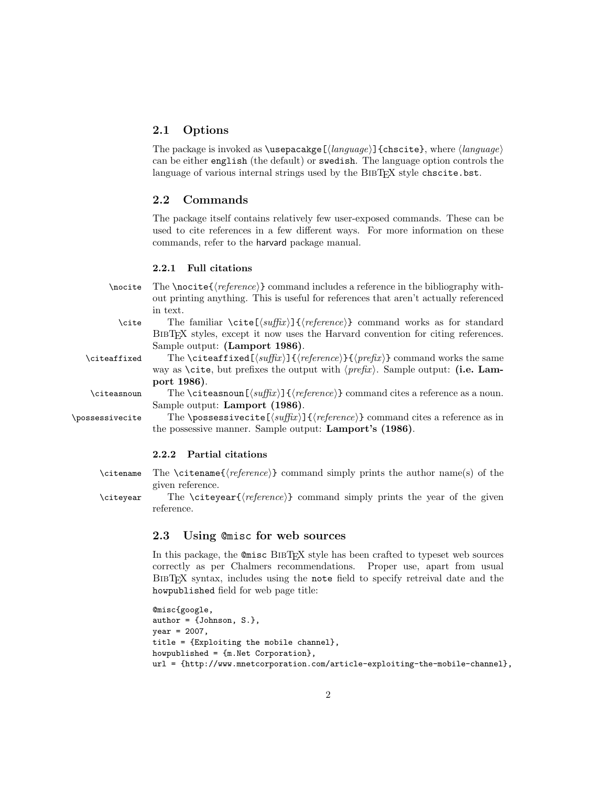### 2.1 Options

The package is invoked as \usepacakge  $\langle \langle \rangle$  {chscite}, where  $\langle \langle \rangle$ } can be either english (the default) or swedish. The language option controls the language of various internal strings used by the BIBT<sub>EX</sub> style chscite.bst.

#### 2.2 Commands

The package itself contains relatively few user-exposed commands. These can be used to cite references in a few different ways. For more information on these commands, refer to the harvard package manual.

#### 2.2.1 Full citations

 $\cdot$  The  $\no$ ite{ $\vee$ cence}} command includes a reference in the bibliography without printing anything. This is useful for references that aren't actually referenced in text.

\cite The familiar \cite  $[\langle \textit{suffix} \rangle] {\langle \textit{reference} \rangle}$  command works as for standard BibTEX styles, except it now uses the Harvard convention for citing references. Sample output: (Lamport 1986).

\citeaffixed The \citeaffixed  $[\langle \text{surface}\rangle]{\langle \text{reference}\rangle}$  command works the same way as \cite, but prefixes the output with  $\langle prefix \rangle$ . Sample output: (i.e. Lamport 1986).

\citeasnoun The \citeasnoun  $[\langle \text{surface}\rangle]$  {\reference} command cites a reference as a noun. Sample output: Lamport (1986).

\possessivecite The \possessivecite  $[\sqrt{s}t] {\langle reference \rangle}$  command cites a reference as in the possessive manner. Sample output: Lamport's (1986).

#### 2.2.2 Partial citations

 $\c{intername}$  The  $\c{intername}{\n (reference)}$  command simply prints the author name(s) of the given reference.

 $\c{t}$  The  $\c{t}$   $\c{t}$  (*reference*) command simply prints the year of the given reference.

### 2.3 Using @misc for web sources

In this package, the @misc BibTEX style has been crafted to typeset web sources correctly as per Chalmers recommendations. Proper use, apart from usual BibTEX syntax, includes using the note field to specify retreival date and the howpublished field for web page title:

```
@misc{google,
author = {Johnson, S.},
year = 2007,title = {Exploiting the mobile channel},
howpublished = {m.Het Corporation},
url = {http://www.mnetcorporation.com/article-exploiting-the-mobile-channel},
```